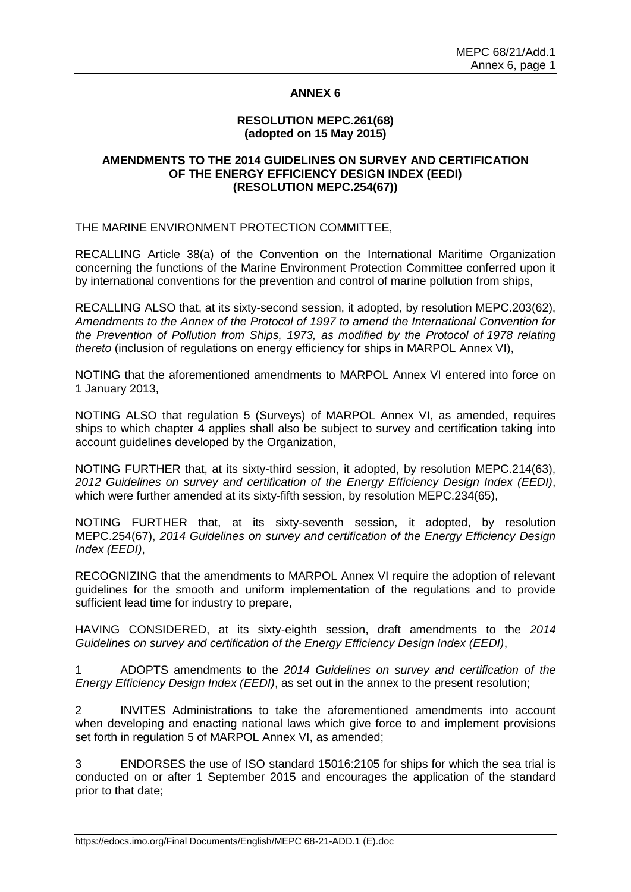# **ANNEX 6**

### **RESOLUTION MEPC.261(68) (adopted on 15 May 2015)**

# **AMENDMENTS TO THE 2014 GUIDELINES ON SURVEY AND CERTIFICATION OF THE ENERGY EFFICIENCY DESIGN INDEX (EEDI) (RESOLUTION MEPC.254(67))**

THE MARINE ENVIRONMENT PROTECTION COMMITTEE,

RECALLING Article 38(a) of the Convention on the International Maritime Organization concerning the functions of the Marine Environment Protection Committee conferred upon it by international conventions for the prevention and control of marine pollution from ships,

RECALLING ALSO that, at its sixty-second session, it adopted, by resolution MEPC.203(62), *Amendments to the Annex of the Protocol of 1997 to amend the International Convention for the Prevention of Pollution from Ships, 1973, as modified by the Protocol of 1978 relating thereto* (inclusion of regulations on energy efficiency for ships in MARPOL Annex VI),

NOTING that the aforementioned amendments to MARPOL Annex VI entered into force on 1 January 2013,

NOTING ALSO that regulation 5 (Surveys) of MARPOL Annex VI, as amended, requires ships to which chapter 4 applies shall also be subject to survey and certification taking into account guidelines developed by the Organization,

NOTING FURTHER that, at its sixty-third session, it adopted, by resolution MEPC.214(63), *2012 Guidelines on survey and certification of the Energy Efficiency Design Index (EEDI)*, which were further amended at its sixty-fifth session, by resolution MEPC.234(65),

NOTING FURTHER that, at its sixty-seventh session, it adopted, by resolution MEPC.254(67), *2014 Guidelines on survey and certification of the Energy Efficiency Design Index (EEDI)*,

RECOGNIZING that the amendments to MARPOL Annex VI require the adoption of relevant guidelines for the smooth and uniform implementation of the regulations and to provide sufficient lead time for industry to prepare,

HAVING CONSIDERED, at its sixty-eighth session, draft amendments to the *2014 Guidelines on survey and certification of the Energy Efficiency Design Index (EEDI)*,

1 ADOPTS amendments to the *2014 Guidelines on survey and certification of the Energy Efficiency Design Index (EEDI)*, as set out in the annex to the present resolution;

2 INVITES Administrations to take the aforementioned amendments into account when developing and enacting national laws which give force to and implement provisions set forth in regulation 5 of MARPOL Annex VI, as amended;

3 ENDORSES the use of ISO standard 15016:2105 for ships for which the sea trial is conducted on or after 1 September 2015 and encourages the application of the standard prior to that date;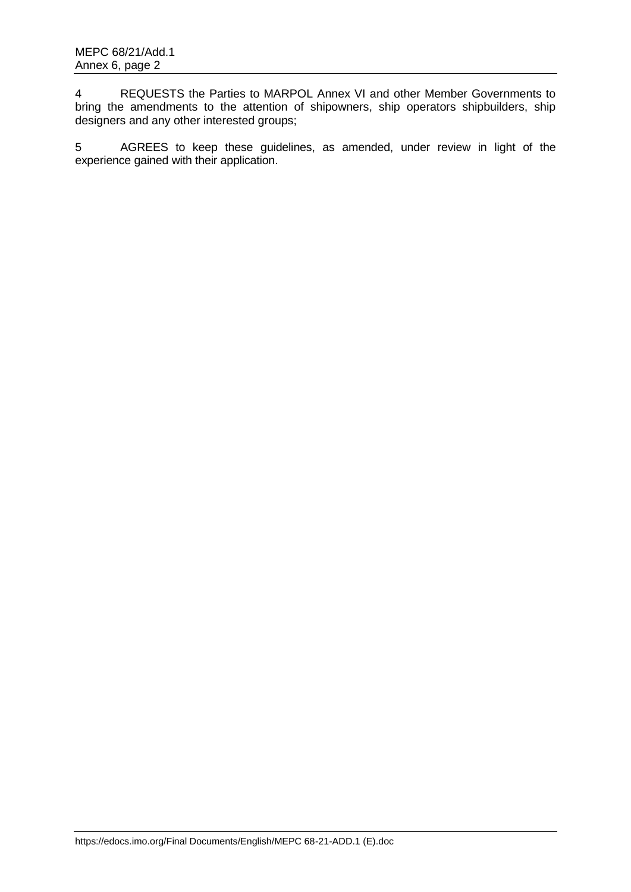4 REQUESTS the Parties to MARPOL Annex VI and other Member Governments to bring the amendments to the attention of shipowners, ship operators shipbuilders, ship designers and any other interested groups;

5 AGREES to keep these guidelines, as amended, under review in light of the experience gained with their application.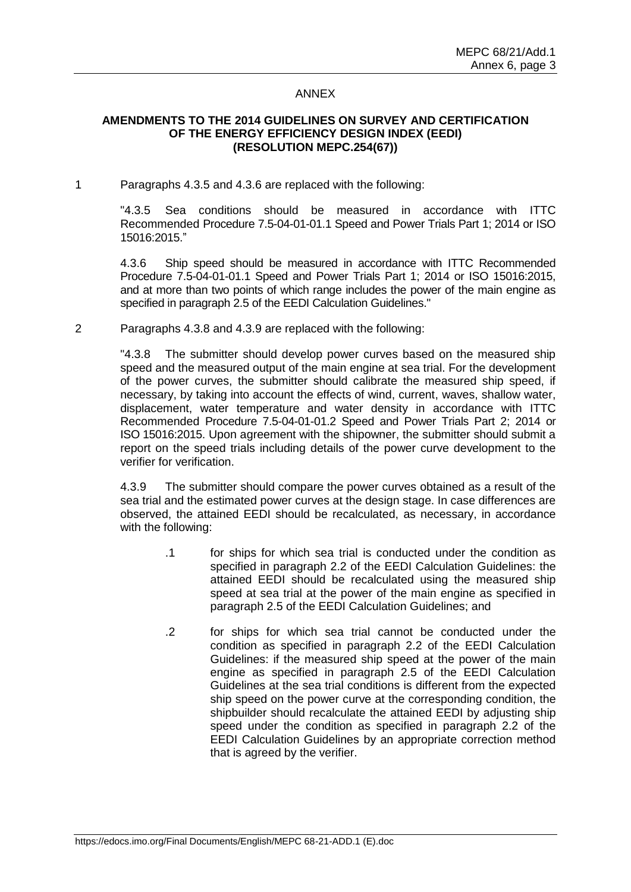### ANNEX

# **AMENDMENTS TO THE 2014 GUIDELINES ON SURVEY AND CERTIFICATION OF THE ENERGY EFFICIENCY DESIGN INDEX (EEDI) (RESOLUTION MEPC.254(67))**

1 Paragraphs 4.3.5 and 4.3.6 are replaced with the following:

"4.3.5 Sea conditions should be measured in accordance with ITTC Recommended Procedure 7.5-04-01-01.1 Speed and Power Trials Part 1; 2014 or ISO 15016:2015."

4.3.6 Ship speed should be measured in accordance with ITTC Recommended Procedure 7.5-04-01-01.1 Speed and Power Trials Part 1; 2014 or ISO 15016:2015, and at more than two points of which range includes the power of the main engine as specified in paragraph 2.5 of the EEDI Calculation Guidelines."

2 Paragraphs 4.3.8 and 4.3.9 are replaced with the following:

"4.3.8 The submitter should develop power curves based on the measured ship speed and the measured output of the main engine at sea trial. For the development of the power curves, the submitter should calibrate the measured ship speed, if necessary, by taking into account the effects of wind, current, waves, shallow water, displacement, water temperature and water density in accordance with ITTC Recommended Procedure 7.5-04-01-01.2 Speed and Power Trials Part 2; 2014 or ISO 15016:2015. Upon agreement with the shipowner, the submitter should submit a report on the speed trials including details of the power curve development to the verifier for verification.

4.3.9 The submitter should compare the power curves obtained as a result of the sea trial and the estimated power curves at the design stage. In case differences are observed, the attained EEDI should be recalculated, as necessary, in accordance with the following:

- .1 for ships for which sea trial is conducted under the condition as specified in paragraph 2.2 of the EEDI Calculation Guidelines: the attained EEDI should be recalculated using the measured ship speed at sea trial at the power of the main engine as specified in paragraph 2.5 of the EEDI Calculation Guidelines; and
- .2 for ships for which sea trial cannot be conducted under the condition as specified in paragraph 2.2 of the EEDI Calculation Guidelines: if the measured ship speed at the power of the main engine as specified in paragraph 2.5 of the EEDI Calculation Guidelines at the sea trial conditions is different from the expected ship speed on the power curve at the corresponding condition, the shipbuilder should recalculate the attained EEDI by adjusting ship speed under the condition as specified in paragraph 2.2 of the EEDI Calculation Guidelines by an appropriate correction method that is agreed by the verifier.